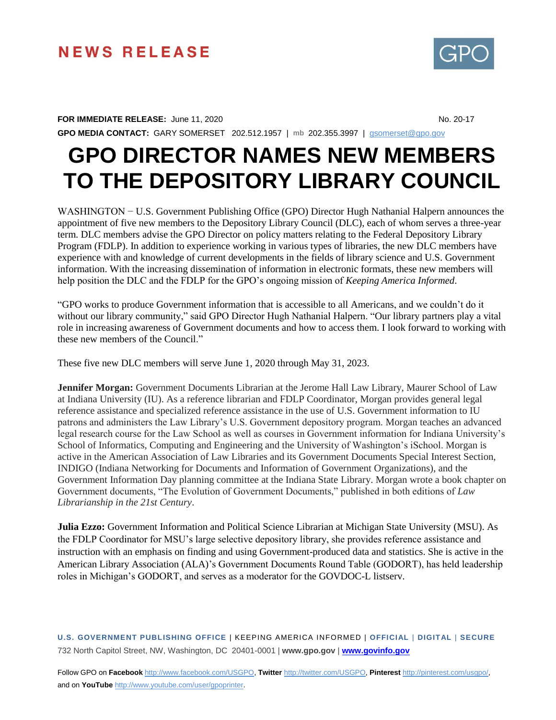## **NEWS RELEASE**

## **FOR IMMEDIATE RELEASE:** June 11, 2020 **No. 20-17** No. 20-17

**GPO MEDIA CONTACT:** GARY SOMERSET 202.512.1957 | **mb** 202.355.3997 | [gsomerset@gpo.gov](mailto:gsomerset@gpo.gov)

## **GPO DIRECTOR NAMES NEW MEMBERS TO THE DEPOSITORY LIBRARY COUNCIL**

WASHINGTON − U.S. Government Publishing Office (GPO) Director Hugh Nathanial Halpern announces the appointment of five new members to the Depository Library Council (DLC), each of whom serves a three-year term. DLC members advise the GPO Director on policy matters relating to the Federal Depository Library Program (FDLP). In addition to experience working in various types of libraries, the new DLC members have experience with and knowledge of current developments in the fields of library science and U.S. Government information. With the increasing dissemination of information in electronic formats, these new members will help position the DLC and the FDLP for the GPO's ongoing mission of *Keeping America Informed*.

"GPO works to produce Government information that is accessible to all Americans, and we couldn't do it without our library community," said GPO Director Hugh Nathanial Halpern. "Our library partners play a vital role in increasing awareness of Government documents and how to access them. I look forward to working with these new members of the Council."

These five new DLC members will serve June 1, 2020 through May 31, 2023.

**Jennifer Morgan:** Government Documents Librarian at the Jerome Hall Law Library, Maurer School of Law at Indiana University (IU). As a reference librarian and FDLP Coordinator, Morgan provides general legal reference assistance and specialized reference assistance in the use of U.S. Government information to IU patrons and administers the Law Library's U.S. Government depository program. Morgan teaches an advanced legal research course for the Law School as well as courses in Government information for Indiana University's School of Informatics, Computing and Engineering and the University of Washington's iSchool. Morgan is active in the American Association of Law Libraries and its Government Documents Special Interest Section, INDIGO (Indiana Networking for Documents and Information of Government Organizations), and the Government Information Day planning committee at the Indiana State Library. Morgan wrote a book chapter on Government documents, "The Evolution of Government Documents," published in both editions of *Law Librarianship in the 21st Century*.

**Julia Ezzo:** Government Information and Political Science Librarian at Michigan State University (MSU). As the FDLP Coordinator for MSU's large selective depository library, she provides reference assistance and instruction with an emphasis on finding and using Government-produced data and statistics. She is active in the American Library Association (ALA)'s Government Documents Round Table (GODORT), has held leadership roles in Michigan's GODORT, and serves as a moderator for the GOVDOC-L listserv.

**U.S. GOVERNMENT PUBLISHING OFFICE** | KEEPING AMERICA INFORMED | **OFFICIAL** | **DIGITAL** | **SECURE** 732 North Capitol Street, NW, Washington, DC 20401-0001 | **www.gpo.gov** | **[www.govinfo.gov](http://www.govinfo.gov/)**